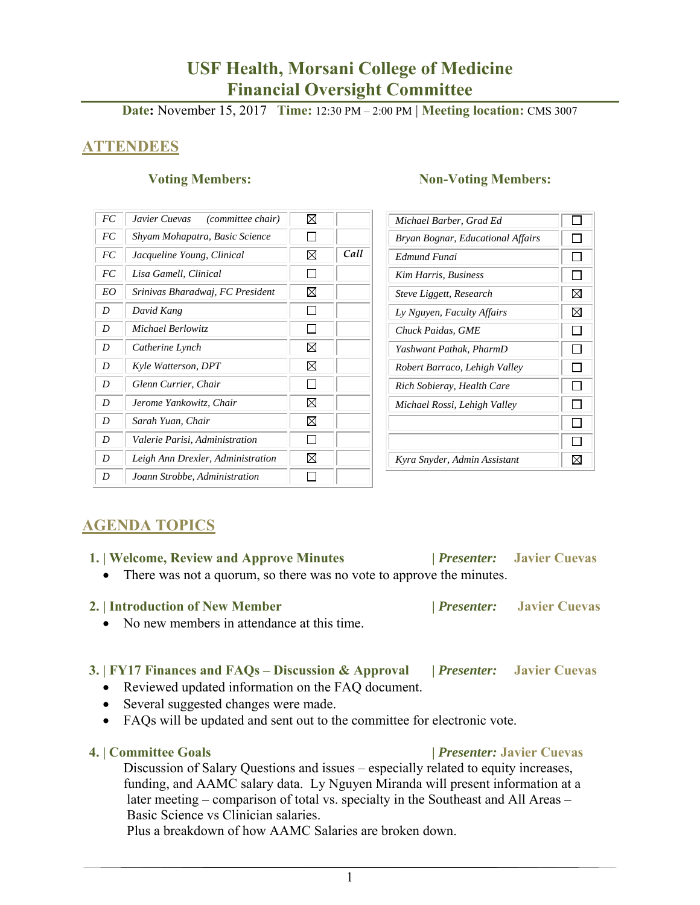# **USF Health, Morsani College of Medicine Financial Oversight Committee**

**Date:** November 15, 2017 **Time:** 12:30 PM – 2:00 PM | **Meeting location:** CMS 3007

# **ATTENDEES**

| FC | Javier Cuevas<br>(committee chair) | ⊠ |      |
|----|------------------------------------|---|------|
| FC | Shyam Mohapatra, Basic Science     |   |      |
| FC | Jacqueline Young, Clinical         | ⊠ | Call |
| FC | Lisa Gamell, Clinical              |   |      |
| EO | Srinivas Bharadwaj, FC President   | ⊠ |      |
| D  | David Kang                         |   |      |
| D  | Michael Berlowitz                  |   |      |
| D  | Catherine Lynch                    | ⊠ |      |
| D  | Kyle Watterson, DPT                | ⊠ |      |
| D  | Glenn Currier, Chair               |   |      |
| D  | Jerome Yankowitz, Chair            | ⊠ |      |
| D  | Sarah Yuan, Chair                  | ⊠ |      |
| D  | Valerie Parisi, Administration     |   |      |
| D  | Leigh Ann Drexler, Administration  | ⊠ |      |
| D  | Joann Strobbe, Administration      |   |      |

#### **Voting Members:** Non-Voting Members:

| Michael Barber, Grad Ed           |              |
|-----------------------------------|--------------|
| Bryan Bognar, Educational Affairs | $\mathbf{I}$ |
| Edmund Funai                      |              |
| Kim Harris, Business              |              |
| Steve Liggett, Research           | ⋈            |
| Ly Nguyen, Faculty Affairs        | ⊠            |
| Chuck Paidas, GME                 |              |
| Yashwant Pathak, PharmD           |              |
| Robert Barraco, Lehigh Valley     |              |
| Rich Sobieray, Health Care        |              |
| Michael Rossi, Lehigh Valley      |              |
|                                   |              |
|                                   |              |
| Kyra Snyder, Admin Assistant      |              |

# **AGENDA TOPICS**

| 1.   Welcome, Review and Approve Minutes                                                                                                                                                                                                        | <i>Presenter:</i> Javier Cuevas |
|-------------------------------------------------------------------------------------------------------------------------------------------------------------------------------------------------------------------------------------------------|---------------------------------|
| • There was not a quorum, so there was no vote to approve the minutes.                                                                                                                                                                          |                                 |
| 2. Introduction of New Member                                                                                                                                                                                                                   | <i>Presenter:</i> Javier Cuevas |
| • No new members in attendance at this time.                                                                                                                                                                                                    |                                 |
|                                                                                                                                                                                                                                                 |                                 |
| 3. FY17 Finances and FAQs – Discussion & Approval <i>Presenter:</i> Javier Cuevas                                                                                                                                                               |                                 |
| • Reviewed updated information on the FAQ document.                                                                                                                                                                                             |                                 |
| • Several suggested changes were made.                                                                                                                                                                                                          |                                 |
| $\Gamma(A \cap \mathcal{O}) = \{111, 111, 1111, 1111, 1111, 1111, 1111, 1111, 1111, 1111, 1111, 1111, 1111, 1111, 1111, 1111, 1111, 1111, 1111, 1111, 1111, 1111, 1111, 1111, 1111, 1111, 1111, 1111, 1111, 1111, 1111, 1111, 1111, 1111, 1111$ |                                 |

FAQs will be updated and sent out to the committee for electronic vote.

#### **4. | Committee Goals |** *Presenter:* **Javier Cuevas**

Discussion of Salary Questions and issues – especially related to equity increases, funding, and AAMC salary data. Ly Nguyen Miranda will present information at a later meeting – comparison of total vs. specialty in the Southeast and All Areas – Basic Science vs Clinician salaries.

Plus a breakdown of how AAMC Salaries are broken down.